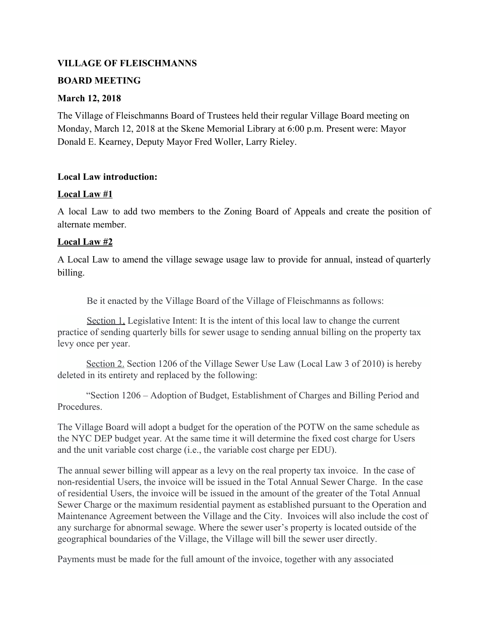## **VILLAGE OF FLEISCHMANNS**

### **BOARD MEETING**

#### **March 12, 2018**

The Village of Fleischmanns Board of Trustees held their regular Village Board meeting on Monday, March 12, 2018 at the Skene Memorial Library at 6:00 p.m. Present were: Mayor Donald E. Kearney, Deputy Mayor Fred Woller, Larry Rieley.

### **Local Law introduction:**

### **Local Law #1**

A local Law to add two members to the Zoning Board of Appeals and create the position of alternate member.

### **Local Law #2**

A Local Law to amend the village sewage usage law to provide for annual, instead of quarterly billing.

Be it enacted by the Village Board of the Village of Fleischmanns as follows:

Section 1. Legislative Intent: It is the intent of this local law to change the current practice of sending quarterly bills for sewer usage to sending annual billing on the property tax levy once per year.

Section 2. Section 1206 of the Village Sewer Use Law (Local Law 3 of 2010) is hereby deleted in its entirety and replaced by the following:

"Section 1206 – Adoption of Budget, Establishment of Charges and Billing Period and **Procedures** 

The Village Board will adopt a budget for the operation of the POTW on the same schedule as the NYC DEP budget year. At the same time it will determine the fixed cost charge for Users and the unit variable cost charge (i.e., the variable cost charge per EDU).

The annual sewer billing will appear as a levy on the real property tax invoice. In the case of non-residential Users, the invoice will be issued in the Total Annual Sewer Charge. In the case of residential Users, the invoice will be issued in the amount of the greater of the Total Annual Sewer Charge or the maximum residential payment as established pursuant to the Operation and Maintenance Agreement between the Village and the City. Invoices will also include the cost of any surcharge for abnormal sewage. Where the sewer user's property is located outside of the geographical boundaries of the Village, the Village will bill the sewer user directly.

Payments must be made for the full amount of the invoice, together with any associated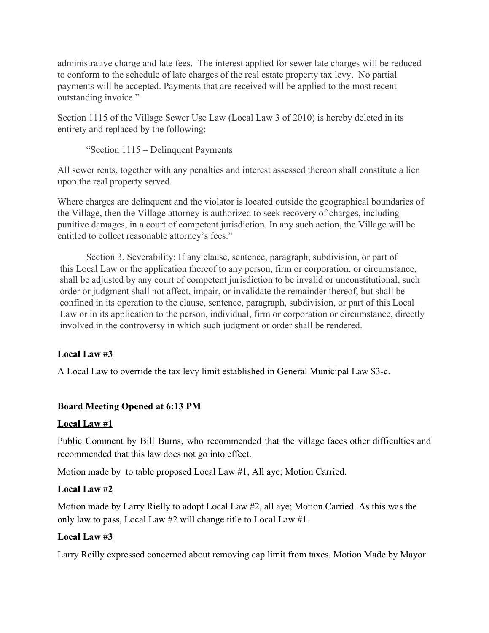administrative charge and late fees. The interest applied for sewer late charges will be reduced to conform to the schedule of late charges of the real estate property tax levy. No partial payments will be accepted. Payments that are received will be applied to the most recent outstanding invoice."

Section 1115 of the Village Sewer Use Law (Local Law 3 of 2010) is hereby deleted in its entirety and replaced by the following:

"Section 1115 – Delinquent Payments

All sewer rents, together with any penalties and interest assessed thereon shall constitute a lien upon the real property served.

Where charges are delinquent and the violator is located outside the geographical boundaries of the Village, then the Village attorney is authorized to seek recovery of charges, including punitive damages, in a court of competent jurisdiction. In any such action, the Village will be entitled to collect reasonable attorney's fees."

Section 3. Severability: If any clause, sentence, paragraph, subdivision, or part of this Local Law or the application thereof to any person, firm or corporation, or circumstance, shall be adjusted by any court of competent jurisdiction to be invalid or unconstitutional, such order or judgment shall not affect, impair, or invalidate the remainder thereof, but shall be confined in its operation to the clause, sentence, paragraph, subdivision, or part of this Local Law or in its application to the person, individual, firm or corporation or circumstance, directly involved in the controversy in which such judgment or order shall be rendered.

# **Local Law #3**

A Local Law to override the tax levy limit established in General Municipal Law \$3-c.

# **Board Meeting Opened at 6:13 PM**

## **Local Law #1**

Public Comment by Bill Burns, who recommended that the village faces other difficulties and recommended that this law does not go into effect.

Motion made by to table proposed Local Law #1, All aye; Motion Carried.

## **Local Law #2**

Motion made by Larry Rielly to adopt Local Law #2, all aye; Motion Carried. As this was the only law to pass, Local Law #2 will change title to Local Law #1.

## **Local Law #3**

Larry Reilly expressed concerned about removing cap limit from taxes. Motion Made by Mayor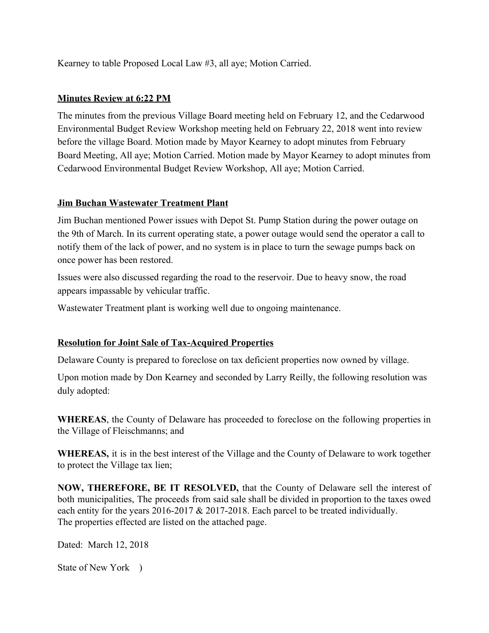Kearney to table Proposed Local Law #3, all aye; Motion Carried.

## **Minutes Review at 6:22 PM**

The minutes from the previous Village Board meeting held on February 12, and the Cedarwood Environmental Budget Review Workshop meeting held on February 22, 2018 went into review before the village Board. Motion made by Mayor Kearney to adopt minutes from February Board Meeting, All aye; Motion Carried. Motion made by Mayor Kearney to adopt minutes from Cedarwood Environmental Budget Review Workshop, All aye; Motion Carried.

# **Jim Buchan Wastewater Treatment Plant**

Jim Buchan mentioned Power issues with Depot St. Pump Station during the power outage on the 9th of March. In its current operating state, a power outage would send the operator a call to notify them of the lack of power, and no system is in place to turn the sewage pumps back on once power has been restored.

Issues were also discussed regarding the road to the reservoir. Due to heavy snow, the road appears impassable by vehicular traffic.

Wastewater Treatment plant is working well due to ongoing maintenance.

# **Resolution for Joint Sale of Tax-Acquired Properties**

Delaware County is prepared to foreclose on tax deficient properties now owned by village.

Upon motion made by Don Kearney and seconded by Larry Reilly, the following resolution was duly adopted:

**WHEREAS**, the County of Delaware has proceeded to foreclose on the following properties in the Village of Fleischmanns; and

**WHEREAS,** it is in the best interest of the Village and the County of Delaware to work together to protect the Village tax lien;

**NOW, THEREFORE, BE IT RESOLVED,** that the County of Delaware sell the interest of both municipalities, The proceeds from said sale shall be divided in proportion to the taxes owed each entity for the years 2016-2017 & 2017-2018. Each parcel to be treated individually. The properties effected are listed on the attached page.

Dated: March 12, 2018

State of New York )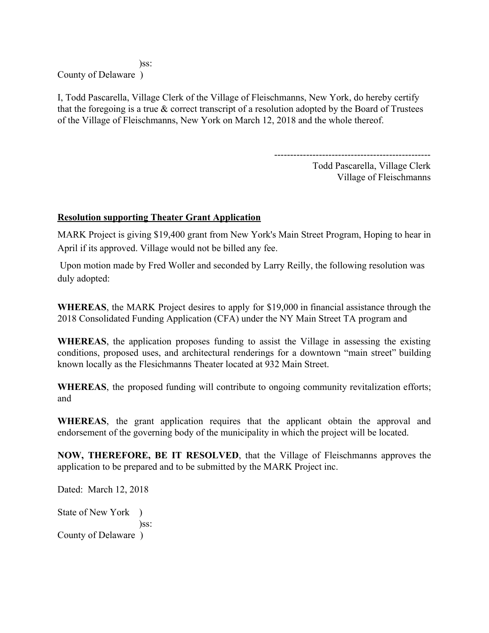)ss:

County of Delaware )

I, Todd Pascarella, Village Clerk of the Village of Fleischmanns, New York, do hereby certify that the foregoing is a true & correct transcript of a resolution adopted by the Board of Trustees of the Village of Fleischmanns, New York on March 12, 2018 and the whole thereof.

-------------------------------------------------

Todd Pascarella, Village Clerk Village of Fleischmanns

# **Resolution supporting Theater Grant Application**

MARK Project is giving \$19,400 grant from New York's Main Street Program, Hoping to hear in April if its approved. Village would not be billed any fee.

 Upon motion made by Fred Woller and seconded by Larry Reilly, the following resolution was duly adopted:

**WHEREAS**, the MARK Project desires to apply for \$19,000 in financial assistance through the 2018 Consolidated Funding Application (CFA) under the NY Main Street TA program and

**WHEREAS**, the application proposes funding to assist the Village in assessing the existing conditions, proposed uses, and architectural renderings for a downtown "main street" building known locally as the Flesichmanns Theater located at 932 Main Street.

**WHEREAS**, the proposed funding will contribute to ongoing community revitalization efforts; and

**WHEREAS**, the grant application requires that the applicant obtain the approval and endorsement of the governing body of the municipality in which the project will be located.

**NOW, THEREFORE, BE IT RESOLVED**, that the Village of Fleischmanns approves the application to be prepared and to be submitted by the MARK Project inc.

Dated: March 12, 2018

State of New York ) )ss: County of Delaware )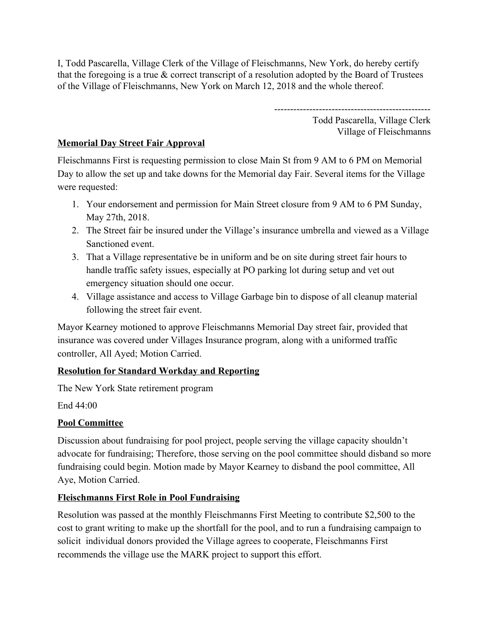I, Todd Pascarella, Village Clerk of the Village of Fleischmanns, New York, do hereby certify that the foregoing is a true  $\&$  correct transcript of a resolution adopted by the Board of Trustees of the Village of Fleischmanns, New York on March 12, 2018 and the whole thereof.

> ------------------------------------------------- Todd Pascarella, Village Clerk Village of Fleischmanns

# **Memorial Day Street Fair Approval**

Fleischmanns First is requesting permission to close Main St from 9 AM to 6 PM on Memorial Day to allow the set up and take downs for the Memorial day Fair. Several items for the Village were requested:

- 1. Your endorsement and permission for Main Street closure from 9 AM to 6 PM Sunday, May 27th, 2018.
- 2. The Street fair be insured under the Village's insurance umbrella and viewed as a Village Sanctioned event.
- 3. That a Village representative be in uniform and be on site during street fair hours to handle traffic safety issues, especially at PO parking lot during setup and vet out emergency situation should one occur.
- 4. Village assistance and access to Village Garbage bin to dispose of all cleanup material following the street fair event.

Mayor Kearney motioned to approve Fleischmanns Memorial Day street fair, provided that insurance was covered under Villages Insurance program, along with a uniformed traffic controller, All Ayed; Motion Carried.

# **Resolution for Standard Workday and Reporting**

The New York State retirement program

End 44:00

## **Pool Committee**

Discussion about fundraising for pool project, people serving the village capacity shouldn't advocate for fundraising; Therefore, those serving on the pool committee should disband so more fundraising could begin. Motion made by Mayor Kearney to disband the pool committee, All Aye, Motion Carried.

# **Fleischmanns First Role in Pool Fundraising**

Resolution was passed at the monthly Fleischmanns First Meeting to contribute \$2,500 to the cost to grant writing to make up the shortfall for the pool, and to run a fundraising campaign to solicit individual donors provided the Village agrees to cooperate, Fleischmanns First recommends the village use the MARK project to support this effort.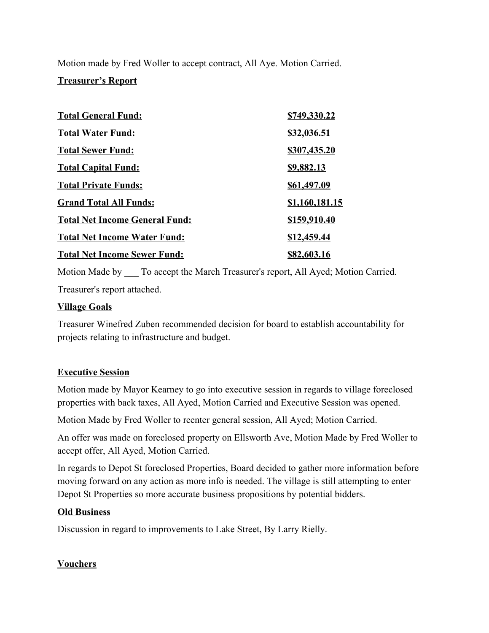Motion made by Fred Woller to accept contract, All Aye. Motion Carried.

### **Treasurer's Report**

| <b>Total General Fund:</b>            | \$749,330.22          |
|---------------------------------------|-----------------------|
| <b>Total Water Fund:</b>              | <u>\$32,036.51</u>    |
| <b>Total Sewer Fund:</b>              | \$307,435.20          |
| <b>Total Capital Fund:</b>            | <u>\$9,882.13</u>     |
| <b>Total Private Funds:</b>           | \$61,497.09           |
| <b>Grand Total All Funds:</b>         | <u>\$1,160,181.15</u> |
| <b>Total Net Income General Fund:</b> | \$159,910.40          |
| <b>Total Net Income Water Fund:</b>   | \$12,459.44           |
| <b>Total Net Income Sewer Fund:</b>   | \$82,603.16           |

Motion Made by \_\_\_ To accept the March Treasurer's report, All Ayed; Motion Carried. Treasurer's report attached.

### **Village Goals**

Treasurer Winefred Zuben recommended decision for board to establish accountability for projects relating to infrastructure and budget.

## **Executive Session**

Motion made by Mayor Kearney to go into executive session in regards to village foreclosed properties with back taxes, All Ayed, Motion Carried and Executive Session was opened.

Motion Made by Fred Woller to reenter general session, All Ayed; Motion Carried.

An offer was made on foreclosed property on Ellsworth Ave, Motion Made by Fred Woller to accept offer, All Ayed, Motion Carried.

In regards to Depot St foreclosed Properties, Board decided to gather more information before moving forward on any action as more info is needed. The village is still attempting to enter Depot St Properties so more accurate business propositions by potential bidders.

## **Old Business**

Discussion in regard to improvements to Lake Street, By Larry Rielly.

## **Vouchers**